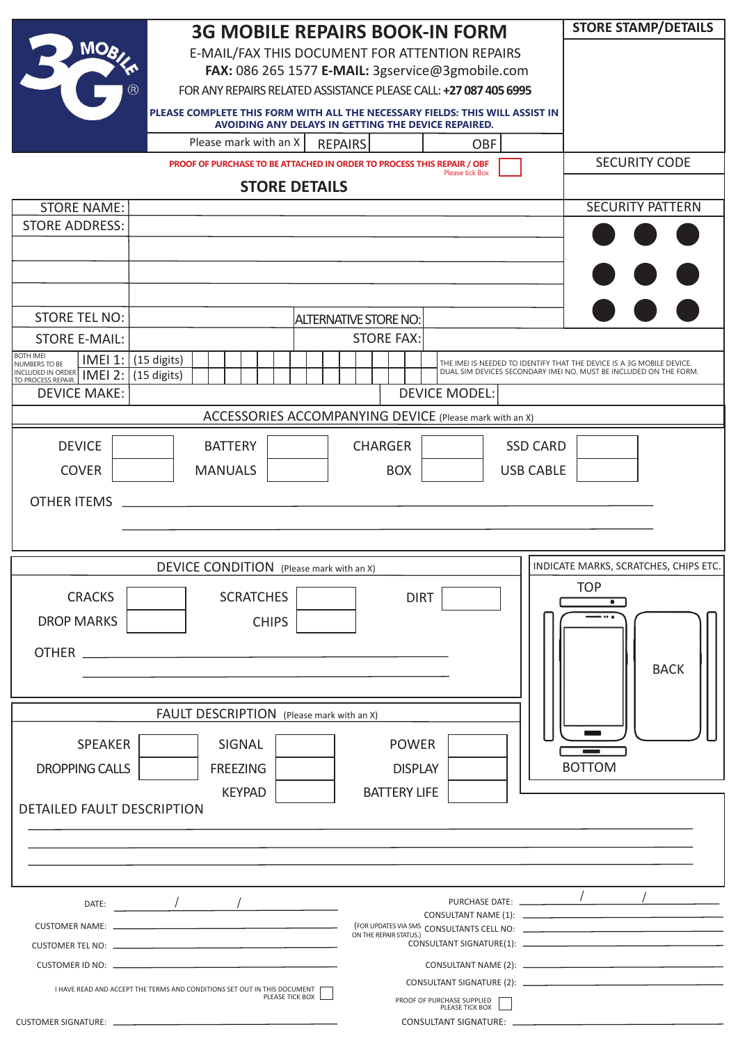| <b>3G MOBILE REPAIRS BOOK-IN FORM</b>                                                                                               | <b>STORE STAMP/DETAILS</b>                                                                                                                 |
|-------------------------------------------------------------------------------------------------------------------------------------|--------------------------------------------------------------------------------------------------------------------------------------------|
| <b>MO<sub>b</sub></b><br>E-MAIL/FAX THIS DOCUMENT FOR ATTENTION REPAIRS                                                             |                                                                                                                                            |
| FAX: 086 265 1577 E-MAIL: 3gservice@3gmobile.com                                                                                    |                                                                                                                                            |
| FOR ANY REPAIRS RELATED ASSISTANCE PLEASE CALL: +27 087 405 6995                                                                    |                                                                                                                                            |
| PLEASE COMPLETE THIS FORM WITH ALL THE NECESSARY FIELDS: THIS WILL ASSIST IN<br>AVOIDING ANY DELAYS IN GETTING THE DEVICE REPAIRED. |                                                                                                                                            |
| Please mark with an X<br><b>REPAIRS</b><br><b>OBF</b>                                                                               |                                                                                                                                            |
| PROOF OF PURCHASE TO BE ATTACHED IN ORDER TO PROCESS THIS REPAIR / OBF<br>Please tick Box                                           | <b>SECURITY CODE</b>                                                                                                                       |
| <b>STORE DETAILS</b>                                                                                                                |                                                                                                                                            |
| <b>STORE NAME:</b><br><b>STORE ADDRESS:</b>                                                                                         | <b>SECURITY PATTERN</b>                                                                                                                    |
|                                                                                                                                     |                                                                                                                                            |
|                                                                                                                                     |                                                                                                                                            |
|                                                                                                                                     |                                                                                                                                            |
| <b>STORE TEL NO:</b>                                                                                                                |                                                                                                                                            |
| <b>ALTERNATIVE STORE NO:</b><br><b>STORE E-MAIL:</b><br><b>STORE FAX:</b>                                                           |                                                                                                                                            |
| <b>BOTH IMEI</b><br>IMEI 1:<br>(15 digits)                                                                                          |                                                                                                                                            |
| NUMBERS TO BE<br>INCLUDED IN ORDER TMEI 2:<br>(15 digits)<br>TO PROCESS REPAIR.                                                     | THE IMEI IS NEEDED TO IDENTIFY THAT THE DEVICE IS A 3G MOBILE DEVICE.<br>DUAL SIM DEVICES SECONDARY IMEI NO. MUST BE INCLUDED ON THE FORM. |
| <b>DEVICE MAKE:</b><br><b>DEVICE MODEL:</b>                                                                                         |                                                                                                                                            |
| ACCESSORIES ACCOMPANYING DEVICE (Please mark with an X)                                                                             |                                                                                                                                            |
| <b>DEVICE</b><br><b>BATTERY</b><br><b>CHARGER</b><br><b>SSD CARD</b>                                                                |                                                                                                                                            |
| <b>COVER</b><br><b>MANUALS</b><br><b>USB CABLE</b><br><b>BOX</b>                                                                    |                                                                                                                                            |
|                                                                                                                                     |                                                                                                                                            |
| <b>OTHER ITEMS</b>                                                                                                                  |                                                                                                                                            |
|                                                                                                                                     |                                                                                                                                            |
| DEVICE CONDITION (Please mark with an X)                                                                                            | INDICATE MARKS, SCRATCHES, CHIPS ETC.                                                                                                      |
|                                                                                                                                     | <b>TOP</b>                                                                                                                                 |
| <b>CRACKS</b><br><b>SCRATCHES</b><br><b>DIRT</b>                                                                                    |                                                                                                                                            |
| <b>DROP MARKS</b><br><b>CHIPS</b>                                                                                                   |                                                                                                                                            |
|                                                                                                                                     |                                                                                                                                            |
|                                                                                                                                     | <b>BACK</b>                                                                                                                                |
|                                                                                                                                     |                                                                                                                                            |
| FAULT DESCRIPTION (Please mark with an X)                                                                                           |                                                                                                                                            |
| <b>SPEAKER</b><br>SIGNAL<br><b>POWER</b>                                                                                            |                                                                                                                                            |
| <b>DROPPING CALLS</b><br><b>FREEZING</b><br><b>DISPLAY</b>                                                                          | <b>BOTTOM</b>                                                                                                                              |
| <b>KEYPAD</b><br><b>BATTERY LIFE</b>                                                                                                |                                                                                                                                            |
| DETAILED FAULT DESCRIPTION                                                                                                          |                                                                                                                                            |
|                                                                                                                                     |                                                                                                                                            |
|                                                                                                                                     |                                                                                                                                            |
|                                                                                                                                     |                                                                                                                                            |
|                                                                                                                                     |                                                                                                                                            |
|                                                                                                                                     |                                                                                                                                            |
| ON THE REPAIR STATUS.)                                                                                                              |                                                                                                                                            |
|                                                                                                                                     |                                                                                                                                            |
| I HAVE READ AND ACCEPT THE TERMS AND CONDITIONS SET OUT IN THIS DOCUMENT<br>PLEASE TICK BOX                                         |                                                                                                                                            |
| PROOF OF PURCHASE SUPPLIED<br>PLEASE TICK BOX                                                                                       |                                                                                                                                            |
|                                                                                                                                     |                                                                                                                                            |